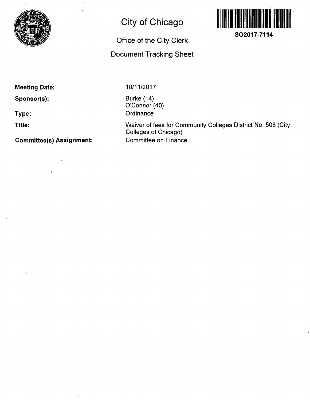

# **City of Chicago**

## **Office of the City Clerk**

### **Document Tracking Sheet**



**Meeting Date:** 

**Sponsor(s):** 

**Type:** 

**Title:** 

**Committee(s) Assignment:** 

10/11/2017

Burke (14) O'Connor (40) **Ordinance** 

Waiver of fees for Community Colleges District No. 508 (City Colleges of Chicago) Committee on Finance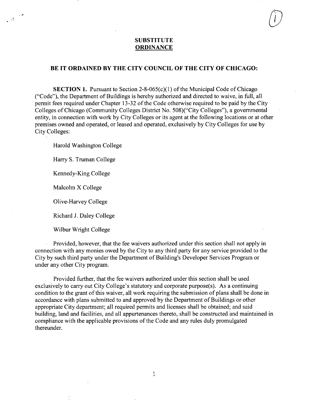#### **SUBSTITUTE ORDINANCE**

#### **BE IT ORDAINED BY THE CITY COUNCIL OF THE CITY OF CHICAGO:**

**SECTION 1.** Pursuant to Section 2-8-065(c)(1) of the Municipal Code of Chicago ("Code"), the Department of Buildings is hereby authorized and directed to waive, in full, all permit fees required under Chapter 13-32 of the Code otherwise required to be paid by the City Colleges of Chicago (Community Colleges District No. 508)("City Colleges"), a govemmental entity, in connection with work by City Colleges or its agent at the following locations or at other premises owned and operated, or leased and operated, exclusively by City Colleges for use by City Colleges:

Harold Washington College

Harry S. Truman College

Kennedy-King College

Malcolm X College

्र हो।<br>प

Olive-Harvey College

Richard J. Daley College

Wilbur Wright College

Provided, however, that the fee waivers authorized under this section shall not apply in connection with any monies owed by the City to any third party for any service provided to the City by such third party under the Department of Building's Developer Services Program or under any other City program.

Provided further, that the fee waivers authorized under this section shall be used exclusively to carry out City College's statutory and corporate purpose(s). As a continuing condition to the grant of this waiver, all work requiring the submission of plans shall be done in accordance with plans subrnitted to and approved by the Department of Buildings or other appropriate City department; all required permits and licenses shall be obtained; and said building, land and facilities, and all appurtenances thereto, shall be constructed and maintained in compliance with the applicable provisions of the Code and any rules duly promulgated thereunder.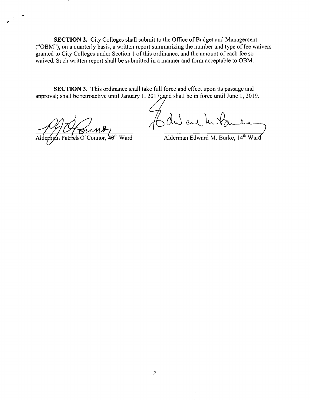SECTION 2. City Colleges shall submit to the Office of Budget and Management ("OBM"), on a quarterly basis, a written report summarizing the number and type of fee waivers granted to City Colleges under Section 1 of this ordinance, and the amount of each fee so waived. Such written report shall be submitted in a manner and form acceptable to OBM.

SECTION 3. This ordinance shall take full force and effect upon its passage and approval; shall be retroactive until January 1, 2017; and shall be in force until June 1, 2019.

 $\int$  du and

 $\overline{A}$   $\overline{A}$   $\overline{A}$   $\overline{A}$   $\overline{A}$   $\overline{A}$   $\overline{A}$   $\overline{A}$   $\overline{A}$   $\overline{A}$   $\overline{A}$   $\overline{A}$   $\overline{A}$   $\overline{A}$   $\overline{A}$   $\overline{A}$   $\overline{A}$   $\overline{A}$   $\overline{A}$   $\overline{A}$   $\overline{A}$   $\overline{A}$   $\overline{A}$   $\overline{A}$   $\overline{$